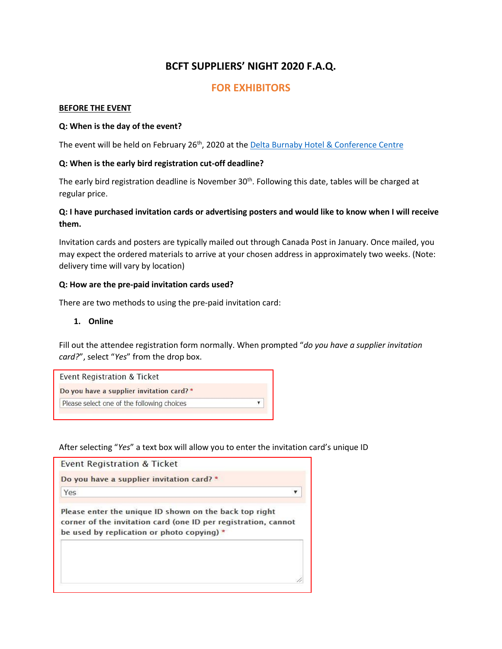# **BCFT SUPPLIERS' NIGHT 2020 F.A.Q.**

## **FOR EXHIBITORS**

#### **BEFORE THE EVENT**

#### **Q: When is the day of the event?**

The event will be held on February 26<sup>th</sup>, 2020 at the **Delta Burnaby Hotel & Conference Centre** 

#### **Q: When is the early bird registration cut-off deadline?**

The early bird registration deadline is November 30<sup>th</sup>. Following this date, tables will be charged at regular price.

## **Q: I have purchased invitation cards or advertising posters and would like to know when I will receive them.**

Invitation cards and posters are typically mailed out through Canada Post in January. Once mailed, you may expect the ordered materials to arrive at your chosen address in approximately two weeks. (Note: delivery time will vary by location)

#### **Q: How are the pre-paid invitation cards used?**

There are two methods to using the pre-paid invitation card:

#### **1. Online**

Fill out the attendee registration form normally. When prompted "*do you have a supplier invitation card?*", select "*Yes*" from the drop box.

| <b>Event Registration &amp; Ticket</b>     |  |
|--------------------------------------------|--|
| Do you have a supplier invitation card? *  |  |
| Please select one of the following choices |  |

After selecting "*Yes*" a text box will allow you to enter the invitation card's unique ID

| Event Registration & Ticket                                                                                                                                            |  |
|------------------------------------------------------------------------------------------------------------------------------------------------------------------------|--|
| Do you have a supplier invitation card? *                                                                                                                              |  |
| Yes                                                                                                                                                                    |  |
| Please enter the unique ID shown on the back top right<br>corner of the invitation card (one ID per registration, cannot<br>be used by replication or photo copying) * |  |
|                                                                                                                                                                        |  |
|                                                                                                                                                                        |  |
|                                                                                                                                                                        |  |
|                                                                                                                                                                        |  |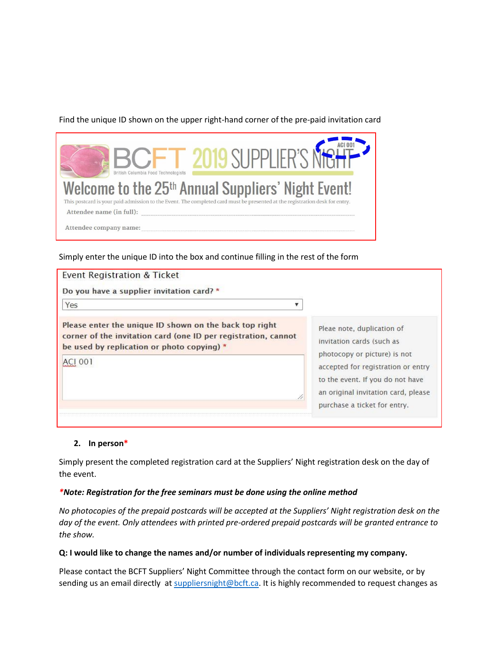## Find the unique ID shown on the upper right-hand corner of the pre-paid invitation card

| 2019 SUPPLIFR'S NIGHT<br>British Columbia Food Technologists                                                                                                                                  |
|-----------------------------------------------------------------------------------------------------------------------------------------------------------------------------------------------|
| Welcome to the 25 <sup>th</sup> Annual Suppliers' Night Event!<br>This postcard is your paid admission to the Event. The completed card must be presented at the registration desk for entry. |
| Attendee name (in full):                                                                                                                                                                      |
| Attendee company name:                                                                                                                                                                        |

Simply enter the unique ID into the box and continue filling in the rest of the form

| Event Registration & Ticket                                                                                                                                            |                                                                                                                                               |
|------------------------------------------------------------------------------------------------------------------------------------------------------------------------|-----------------------------------------------------------------------------------------------------------------------------------------------|
| Do you have a supplier invitation card? *                                                                                                                              |                                                                                                                                               |
| Yes                                                                                                                                                                    |                                                                                                                                               |
| Please enter the unique ID shown on the back top right<br>corner of the invitation card (one ID per registration, cannot<br>be used by replication or photo copying) * | Pleae note, duplication of<br>invitation cards (such as                                                                                       |
| AC1001                                                                                                                                                                 | photocopy or picture) is not<br>accepted for registration or entry<br>to the event. If you do not have<br>an original invitation card, please |
|                                                                                                                                                                        | purchase a ticket for entry.                                                                                                                  |

#### **2. In person\***

Simply present the completed registration card at the Suppliers' Night registration desk on the day of the event.

#### *\*Note: Registration for the free seminars must be done using the online method*

*No photocopies of the prepaid postcards will be accepted at the Suppliers' Night registration desk on the day of the event. Only attendees with printed pre-ordered prepaid postcards will be granted entrance to the show.*

#### **Q: I would like to change the names and/or number of individuals representing my company.**

Please contact the BCFT Suppliers' Night Committee through the contact form on our website, or by sending us an email directly at [suppliersnight@bcft.ca.](mailto:suppliersnight@bcft.ca) It is highly recommended to request changes as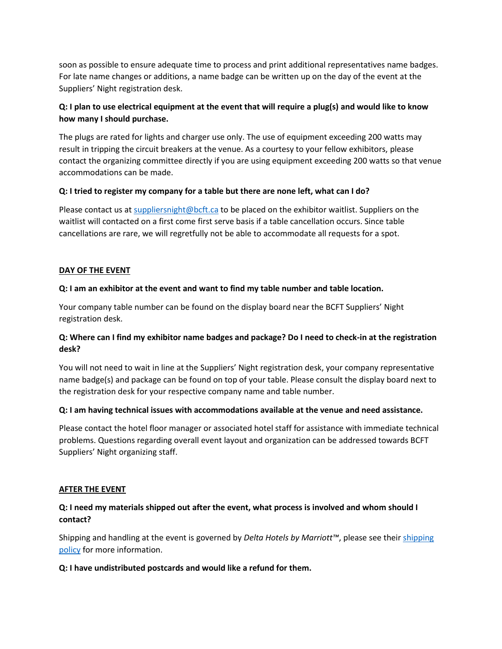soon as possible to ensure adequate time to process and print additional representatives name badges. For late name changes or additions, a name badge can be written up on the day of the event at the Suppliers' Night registration desk.

## **Q: I plan to use electrical equipment at the event that will require a plug(s) and would like to know how many I should purchase.**

The plugs are rated for lights and charger use only. The use of equipment exceeding 200 watts may result in tripping the circuit breakers at the venue. As a courtesy to your fellow exhibitors, please contact the organizing committee directly if you are using equipment exceeding 200 watts so that venue accommodations can be made.

#### **Q: I tried to register my company for a table but there are none left, what can I do?**

Please contact us at [suppliersnight@bcft.ca](mailto:suppliersnight@bcft.ca) to be placed on the exhibitor waitlist. Suppliers on the waitlist will contacted on a first come first serve basis if a table cancellation occurs. Since table cancellations are rare, we will regretfully not be able to accommodate all requests for a spot.

#### **DAY OF THE EVENT**

#### **Q: I am an exhibitor at the event and want to find my table number and table location.**

Your company table number can be found on the display board near the BCFT Suppliers' Night registration desk.

## **Q: Where can I find my exhibitor name badges and package? Do I need to check-in at the registration desk?**

You will not need to wait in line at the Suppliers' Night registration desk, your company representative name badge(s) and package can be found on top of your table. Please consult the display board next to the registration desk for your respective company name and table number.

#### **Q: I am having technical issues with accommodations available at the venue and need assistance.**

Please contact the hotel floor manager or associated hotel staff for assistance with immediate technical problems. Questions regarding overall event layout and organization can be addressed towards BCFT Suppliers' Night organizing staff.

#### **AFTER THE EVENT**

## **Q: I need my materials shipped out after the event, what process is involved and whom should I contact?**

Shipping and handling at the event is governed by *Delta Hotels by Marriott™*, please see thei[r shipping](https://docs.wixstatic.com/ugd/4eb45d_8e666ea8ee384900bbc5799e7e6f18ae.pdf)  [policy](https://docs.wixstatic.com/ugd/4eb45d_8e666ea8ee384900bbc5799e7e6f18ae.pdf) for more information.

#### **Q: I have undistributed postcards and would like a refund for them.**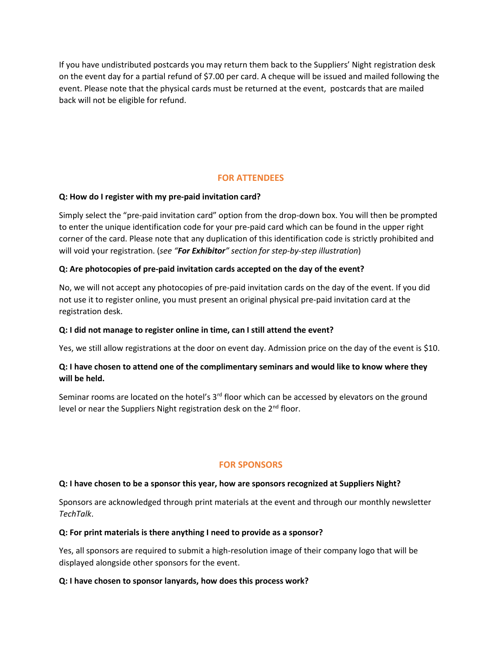If you have undistributed postcards you may return them back to the Suppliers' Night registration desk on the event day for a partial refund of \$7.00 per card. A cheque will be issued and mailed following the event. Please note that the physical cards must be returned at the event, postcards that are mailed back will not be eligible for refund.

## **FOR ATTENDEES**

#### **Q: How do I register with my pre-paid invitation card?**

Simply select the "pre-paid invitation card" option from the drop-down box. You will then be prompted to enter the unique identification code for your pre-paid card which can be found in the upper right corner of the card. Please note that any duplication of this identification code is strictly prohibited and will void your registration. (*see "For Exhibitor" section for step-by-step illustration*)

#### **Q: Are photocopies of pre-paid invitation cards accepted on the day of the event?**

No, we will not accept any photocopies of pre-paid invitation cards on the day of the event. If you did not use it to register online, you must present an original physical pre-paid invitation card at the registration desk.

#### **Q: I did not manage to register online in time, can I still attend the event?**

Yes, we still allow registrations at the door on event day. Admission price on the day of the event is \$10.

## **Q: I have chosen to attend one of the complimentary seminars and would like to know where they will be held.**

Seminar rooms are located on the hotel's  $3<sup>rd</sup>$  floor which can be accessed by elevators on the ground level or near the Suppliers Night registration desk on the 2<sup>nd</sup> floor.

## **FOR SPONSORS**

#### **Q: I have chosen to be a sponsor this year, how are sponsors recognized at Suppliers Night?**

Sponsors are acknowledged through print materials at the event and through our monthly newsletter *TechTalk*.

#### **Q: For print materials is there anything I need to provide as a sponsor?**

Yes, all sponsors are required to submit a high-resolution image of their company logo that will be displayed alongside other sponsors for the event.

#### **Q: I have chosen to sponsor lanyards, how does this process work?**